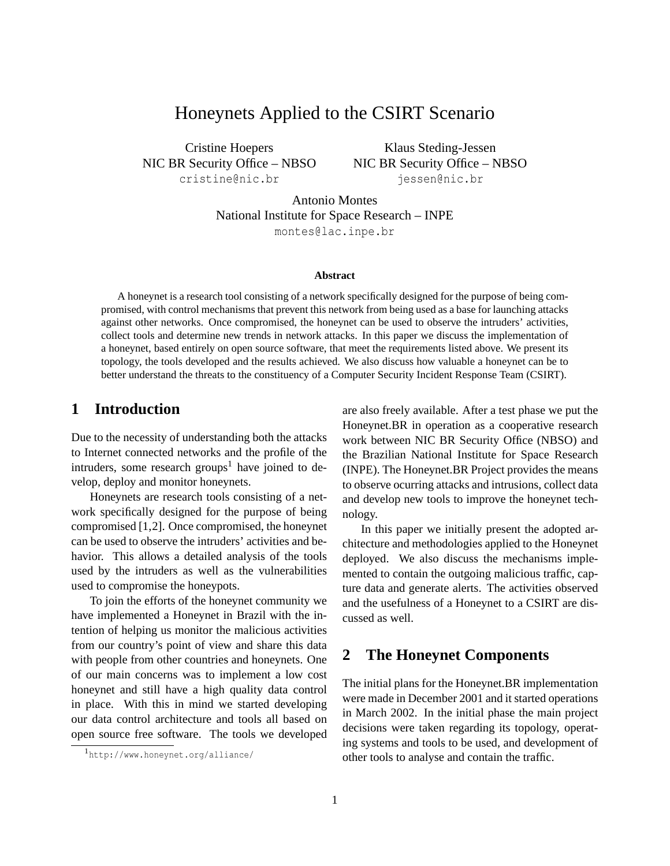# Honeynets Applied to the CSIRT Scenario

Cristine Hoepers NIC BR Security Office – NBSO <cristine@nic.br>

Klaus Steding-Jessen NIC BR Security Office – NBSO <jessen@nic.br>

Antonio Montes National Institute for Space Research – INPE <montes@lac.inpe.br>

#### **Abstract**

A honeynet is a research tool consisting of a network specifically designed for the purpose of being compromised, with control mechanisms that prevent this network from being used as a base for launching attacks against other networks. Once compromised, the honeynet can be used to observe the intruders' activities, collect tools and determine new trends in network attacks. In this paper we discuss the implementation of a honeynet, based entirely on open source software, that meet the requirements listed above. We present its topology, the tools developed and the results achieved. We also discuss how valuable a honeynet can be to better understand the threats to the constituency of a Computer Security Incident Response Team (CSIRT).

## **1 Introduction**

Due to the necessity of understanding both the attacks to Internet connected networks and the profile of the intruders, some research groups<sup>[1](#page-0-0)</sup> have joined to develop, deploy and monitor honeynets.

Honeynets are research tools consisting of a network specifically designed for the purpose of being compromised [\[1,](#page-8-0)[2](#page-8-1)]. Once compromised, the honeynet can be used to observe the intruders' activities and behavior. This allows a detailed analysis of the tools used by the intruders as well as the vulnerabilities used to compromise the honeypots.

To join the efforts of the honeynet community we have implemented a Honeynet in Brazil with the intention of helping us monitor the malicious activities from our country's point of view and share this data with people from other countries and honeynets. One of our main concerns was to implement a low cost honeynet and still have a high quality data control in place. With this in mind we started developing our data control architecture and tools all based on open source free software. The tools we developed

are also freely available. After a test phase we put the Honeynet.BR in operation as a cooperative research work between NIC BR Security Office (NBSO) and the Brazilian National Institute for Space Research (INPE). The Honeynet.BR Project provides the means to observe ocurring attacks and intrusions, collect data and develop new tools to improve the honeynet technology.

In this paper we initially present the adopted architecture and methodologies applied to the Honeynet deployed. We also discuss the mechanisms implemented to contain the outgoing malicious traffic, capture data and generate alerts. The activities observed and the usefulness of a Honeynet to a CSIRT are discussed as well.

## **2 The Honeynet Components**

The initial plans for the Honeynet.BR implementation were made in December 2001 and it started operations in March 2002. In the initial phase the main project decisions were taken regarding its topology, operating systems and tools to be used, and development of other tools to analyse and contain the traffic.

<span id="page-0-0"></span><sup>1</sup><http://www.honeynet.org/alliance/>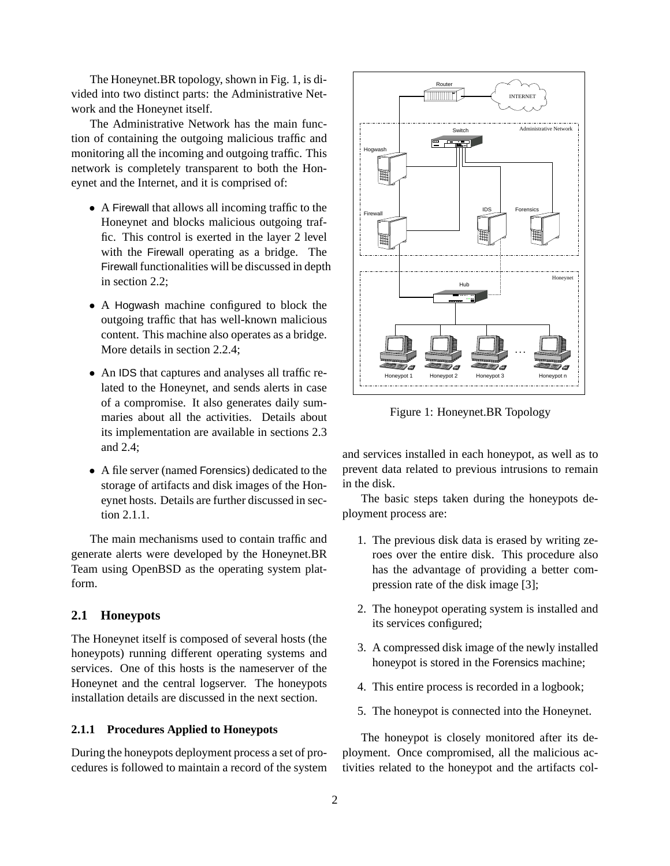The Honeynet.BR topology, shown in Fig. [1](#page-1-0), is divided into two distinct parts: the Administrative Network and the Honeynet itself.

The Administrative Network has the main function of containing the outgoing malicious traffic and monitoring all the incoming and outgoing traffic. This network is completely transparent to both the Honeynet and the Internet, and it is comprised of:

- A Firewall that allows all incoming traffic to the Honeynet and blocks malicious outgoing traffic. This control is exerted in the layer 2 level with the Firewall operating as a bridge. The Firewall functionalities will be discussed in depth in section [2.2;](#page-2-0)
- A Hogwash machine configured to block the outgoing traffic that has well-known malicious content. This machine also operates as a bridge. More details in section [2.2.4;](#page-3-0)
- An IDS that captures and analyses all traffic related to the Honeynet, and sends alerts in case of a compromise. It also generates daily summaries about all the activities. Details about its implementation are available in sections [2.3](#page-3-1) and [2.4;](#page-4-0)
- A file server (named Forensics) dedicated to the storage of artifacts and disk images of the Honeynet hosts. Details are further discussed in section [2.1.1.](#page-1-1)

The main mechanisms used to contain traffic and generate alerts were developed by the Honeynet.BR Team using OpenBSD as the operating system platform.

### **2.1 Honeypots**

The Honeynet itself is composed of several hosts (the honeypots) running different operating systems and services. One of this hosts is the nameserver of the Honeynet and the central logserver. The honeypots installation details are discussed in the next section.

#### <span id="page-1-1"></span>**2.1.1 Procedures Applied to Honeypots**

During the honeypots deployment process a set of procedures is followed to maintain a record of the system



<span id="page-1-0"></span>Figure 1: Honeynet.BR Topology

and services installed in each honeypot, as well as to prevent data related to previous intrusions to remain in the disk.

The basic steps taken during the honeypots deployment process are:

- 1. The previous disk data is erased by writing zeroes over the entire disk. This procedure also has the advantage of providing a better compression rate of the disk image [\[3\]](#page-8-2);
- 2. The honeypot operating system is installed and its services configured;
- 3. A compressed disk image of the newly installed honeypot is stored in the Forensics machine;
- 4. This entire process is recorded in a logbook;
- 5. The honeypot is connected into the Honeynet.

The honeypot is closely monitored after its deployment. Once compromised, all the malicious activities related to the honeypot and the artifacts col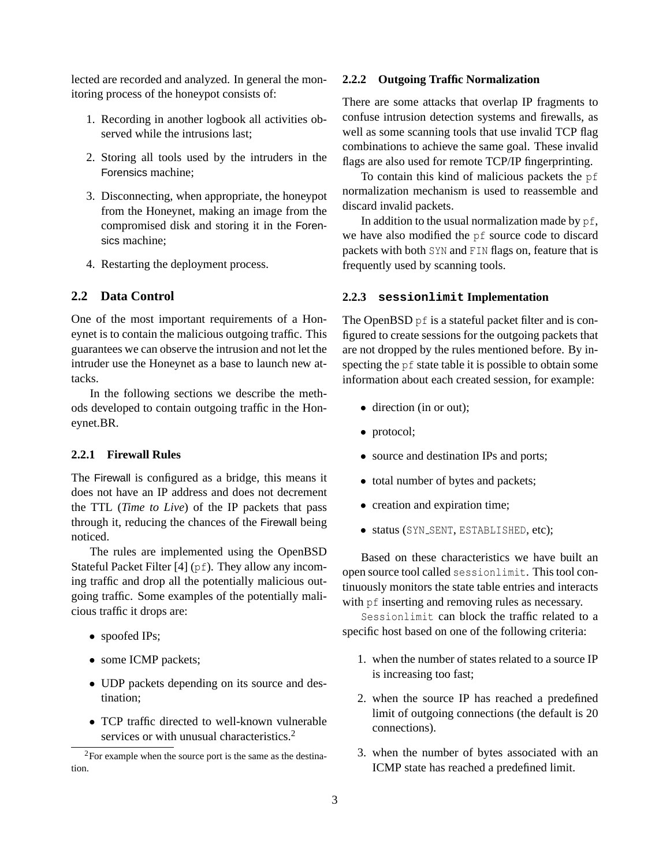lected are recorded and analyzed. In general the monitoring process of the honeypot consists of:

- 1. Recording in another logbook all activities observed while the intrusions last;
- 2. Storing all tools used by the intruders in the Forensics machine;
- 3. Disconnecting, when appropriate, the honeypot from the Honeynet, making an image from the compromised disk and storing it in the Forensics machine;
- 4. Restarting the deployment process.

### <span id="page-2-0"></span>**2.2 Data Control**

One of the most important requirements of a Honeynet is to contain the malicious outgoing traffic. This guarantees we can observe the intrusion and not let the intruder use the Honeynet as a base to launch new attacks.

In the following sections we describe the methods developed to contain outgoing traffic in the Honeynet.BR.

#### **2.2.1 Firewall Rules**

The Firewall is configured as a bridge, this means it does not have an IP address and does not decrement the TTL (*Time to Live*) of the IP packets that pass through it, reducing the chances of the Firewall being noticed.

The rules are implemented using the OpenBSD Stateful Packet Filter [[4](#page-8-3)] (pf). They allow any incoming traffic and drop all the potentially malicious outgoing traffic. Some examples of the potentially malicious traffic it drops are:

- spoofed IPs;
- some ICMP packets;
- UDP packets depending on its source and destination;
- TCP traffic directed to well-known vulnerable services or with unusual characteristics.<sup>[2](#page-2-1)</sup>

#### **2.2.2 Outgoing Traffic Normalization**

There are some attacks that overlap IP fragments to confuse intrusion detection systems and firewalls, as well as some scanning tools that use invalid TCP flag combinations to achieve the same goal. These invalid flags are also used for remote TCP/IP fingerprinting.

To contain this kind of malicious packets the pf normalization mechanism is used to reassemble and discard invalid packets.

In addition to the usual normalization made by  $pf$ , we have also modified the pf source code to discard packets with both SYN and FIN flags on, feature that is frequently used by scanning tools.

#### **2.2.3 sessionlimit Implementation**

The OpenBSD pf is a stateful packet filter and is configured to create sessions for the outgoing packets that are not dropped by the rules mentioned before. By inspecting the pf state table it is possible to obtain some information about each created session, for example:

- direction (in or out);
- protocol;
- source and destination IPs and ports;
- total number of bytes and packets;
- creation and expiration time;
- status (SYN SENT, ESTABLISHED, etc);

Based on these characteristics we have built an open source tool called sessionlimit. This tool continuously monitors the state table entries and interacts with  $pf$  inserting and removing rules as necessary.

Sessionlimit can block the traffic related to a specific host based on one of the following criteria:

- 1. when the number of states related to a source IP is increasing too fast;
- 2. when the source IP has reached a predefined limit of outgoing connections (the default is 20 connections).
- 3. when the number of bytes associated with an ICMP state has reached a predefined limit.

<span id="page-2-1"></span><sup>&</sup>lt;sup>2</sup>For example when the source port is the same as the destination.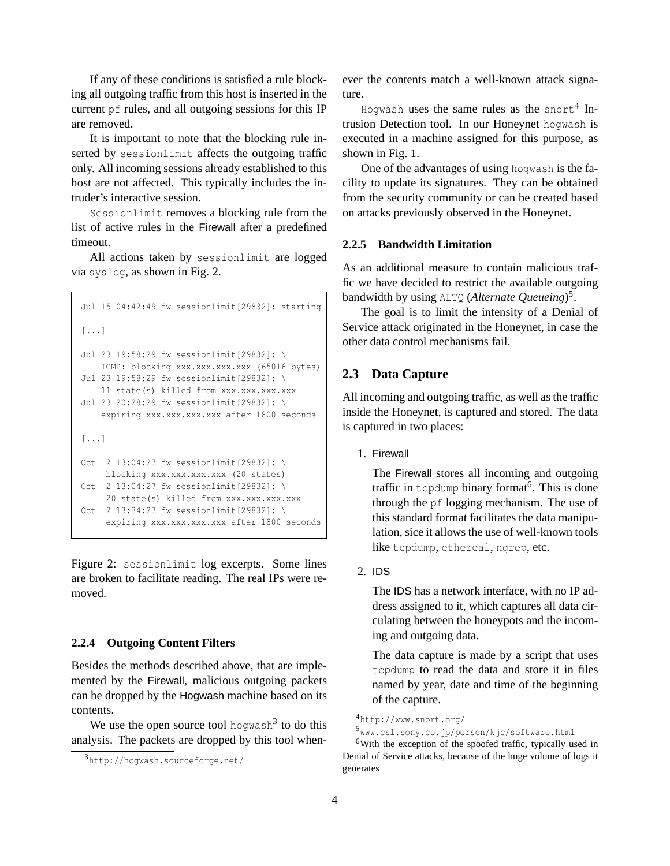If any of these conditions is satisfied a rule blocking all outgoing traffic from this host is inserted in the current pf rules, and all outgoing sessions for this IP are removed.

It is important to note that the blocking rule inserted by sessionlimit affects the outgoing traffic only. All incoming sessions already established to this host are not affected. This typically includes the intruder's interactive session.

Sessionlimit removes a blocking rule from the list of active rules in the Firewall after a predefined timeout.

All actions taken by sessionlimit are logged via syslog, as shown in Fig. [2.](#page-3-2)

```
Jul 15 04:42:49 fw sessionlimit[29832]: starting
[...]
Jul 23 19:58:29 fw sessionlimit[29832]: \
   ICMP: blocking xxx.xxx.xxx.xxx (65016 bytes)
Jul 23 19:58:29 fw sessionlimit[29832]: \
   11 state(s) killed from xxx.xxx.xxx.xxx
Jul 23 20:28:29 fw sessionlimit[29832]: \
   expiring xxx.xxx.xxx.xxx after 1800 seconds
[...]
Oct 2 13:04:27 fw sessionlimit[29832]: \
    blocking xxx.xxx.xxx.xxx (20 states)
Oct 2 13:04:27 fw sessionlimit[29832]: \
    20 state(s) killed from xxx.xxx.xxx.xxx
Oct 2 13:34:27 fw sessionlimit[29832]: \
    expiring xxx.xxx.xxx.xxx after 1800 seconds
```
<span id="page-3-2"></span>Figure 2: sessionlimit log excerpts. Some lines are broken to facilitate reading. The real IPs were removed.

### <span id="page-3-0"></span>**2.2.4 Outgoing Content Filters**

Besides the methods described above, that are implemented by the Firewall, malicious outgoing packets can be dropped by the Hogwash machine based on its contents.

We use the open source tool hogwash<sup>[3](#page-3-3)</sup> to do this analysis. The packets are dropped by this tool whenever the contents match a well-known attack signature.

Hogwash **uses the same rules as the <code>snort[4](#page-3-4) In-</code>** trusion Detection tool. In our Honeynet hogwash is executed in a machine assigned for this purpose, as shown in Fig. [1.](#page-1-0)

One of the advantages of using hogwash is the facility to update its signatures. They can be obtained from the security community or can be created based on attacks previously observed in the Honeynet.

#### **2.2.5 Bandwidth Limitation**

As an additional measure to contain malicious traffic we have decided to restrict the available outgoing bandwidth by using ALTQ (*Alternate Queueing*) [5](#page-3-5) .

The goal is to limit the intensity of a Denial of Service attack originated in the Honeynet, in case the other data control mechanisms fail.

## <span id="page-3-1"></span>**2.3 Data Capture**

All incoming and outgoing traffic, as well as the traffic inside the Honeynet, is captured and stored. The data is captured in two places:

1. Firewall

The Firewall stores all incoming and outgoing traffic in tcpdump binary format<sup>[6](#page-3-6)</sup>. This is done through the pf logging mechanism. The use of this standard format facilitates the data manipulation, sice it allows the use of well-known tools like tcpdump, ethereal, ngrep, etc.

2. IDS

The IDS has a network interface, with no IP address assigned to it, which captures all data circulating between the honeypots and the incoming and outgoing data.

The data capture is made by a script that uses tcpdump to read the data and store it in files named by year, date and time of the beginning of the capture.

<span id="page-3-3"></span><sup>3</sup><http://hogwash.sourceforge.net/>

<sup>4</sup><http://www.snort.org/>

<span id="page-3-5"></span><span id="page-3-4"></span><sup>5</sup><www.csl.sony.co.jp/person/kjc/software.html>

<span id="page-3-6"></span><sup>&</sup>lt;sup>6</sup>With the exception of the spoofed traffic, typically used in Denial of Service attacks, because of the huge volume of logs it generates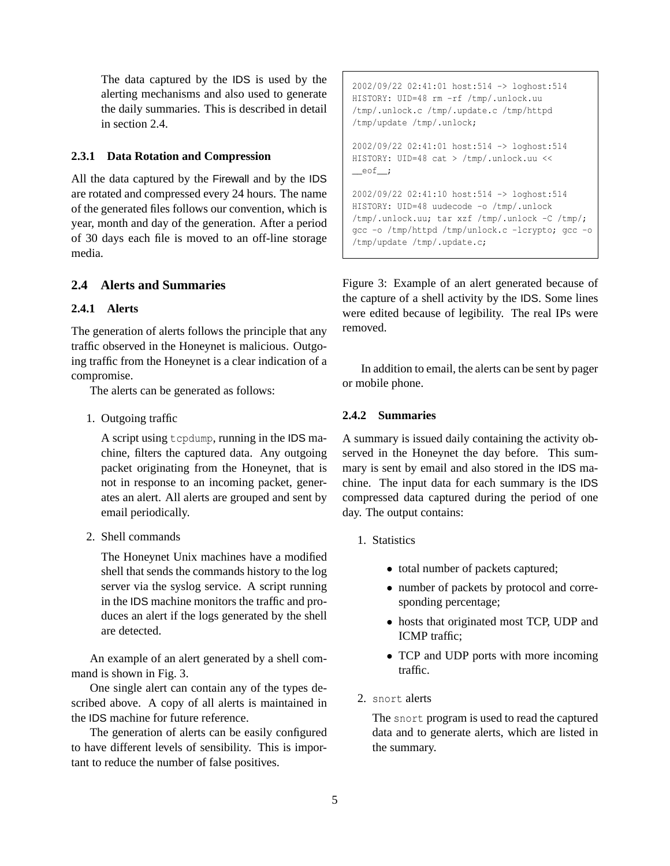The data captured by the IDS is used by the alerting mechanisms and also used to generate the daily summaries. This is described in detail in section [2.4.](#page-4-0)

### **2.3.1 Data Rotation and Compression**

All the data captured by the Firewall and by the IDS are rotated and compressed every 24 hours. The name of the generated files follows our convention, which is year, month and day of the generation. After a period of 30 days each file is moved to an off-line storage media.

## <span id="page-4-0"></span>**2.4 Alerts and Summaries**

#### **2.4.1 Alerts**

The generation of alerts follows the principle that any traffic observed in the Honeynet is malicious. Outgoing traffic from the Honeynet is a clear indication of a compromise.

The alerts can be generated as follows:

1. Outgoing traffic

A script using tcpdump, running in the IDS machine, filters the captured data. Any outgoing packet originating from the Honeynet, that is not in response to an incoming packet, generates an alert. All alerts are grouped and sent by email periodically.

2. Shell commands

The Honeynet Unix machines have a modified shell that sends the commands history to the log server via the syslog service. A script running in the IDS machine monitors the traffic and produces an alert if the logs generated by the shell are detected.

An example of an alert generated by a shell command is shown in Fig. [3.](#page-4-1)

One single alert can contain any of the types described above. A copy of all alerts is maintained in the IDS machine for future reference.

The generation of alerts can be easily configured to have different levels of sensibility. This is important to reduce the number of false positives.

```
2002/09/22 02:41:01 host:514 -> loghost:514
HISTORY: UID=48 rm -rf /tmp/.unlock.uu
/tmp/.unlock.c /tmp/.update.c /tmp/httpd
/tmp/update /tmp/.unlock;
2002/09/22 02:41:01 host:514 -> loghost:514
```
HISTORY: UID=48 cat > /tmp/.unlock.uu << \_\_eof\_\_;

```
2002/09/22 02:41:10 host:514 -> loghost:514
HISTORY: UID=48 uudecode -o /tmp/.unlock
/tmp/.unlock.uu; tar xzf /tmp/.unlock -C /tmp/;
gcc -o /tmp/httpd /tmp/unlock.c -lcrypto; gcc -o
/tmp/update /tmp/.update.c;
```
<span id="page-4-1"></span>Figure 3: Example of an alert generated because of the capture of a shell activity by the IDS. Some lines were edited because of legibility. The real IPs were removed.

In addition to email, the alerts can be sent by pager or mobile phone.

#### **2.4.2 Summaries**

A summary is issued daily containing the activity observed in the Honeynet the day before. This summary is sent by email and also stored in the IDS machine. The input data for each summary is the IDS compressed data captured during the period of one day. The output contains:

- 1. Statistics
	- total number of packets captured;
	- number of packets by protocol and corresponding percentage;
	- hosts that originated most TCP, UDP and ICMP traffic;
	- TCP and UDP ports with more incoming traffic.
- 2. snort alerts

The snort program is used to read the captured data and to generate alerts, which are listed in the summary.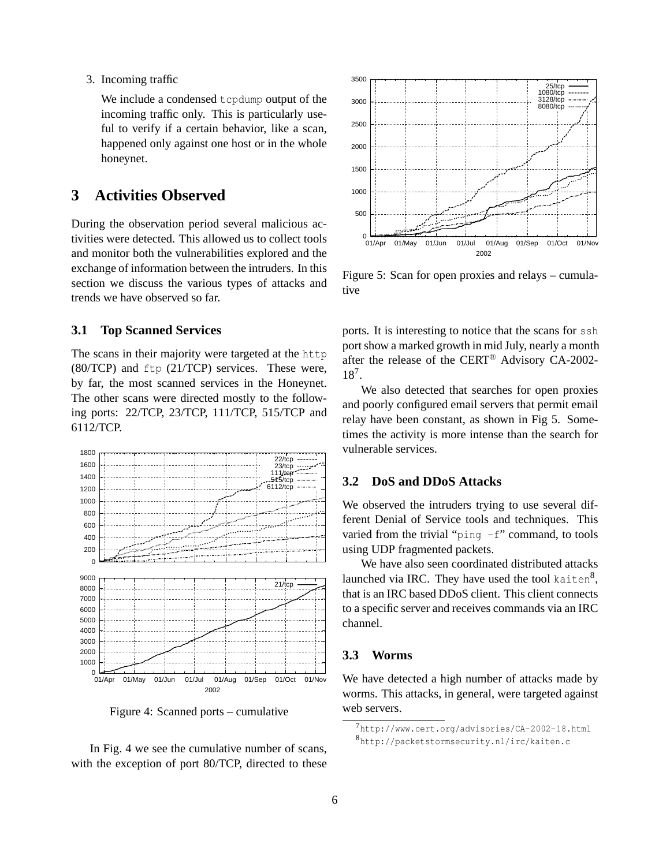3. Incoming traffic

We include a condensed tcpdump output of the incoming traffic only. This is particularly useful to verify if a certain behavior, like a scan, happened only against one host or in the whole honeynet.

## **3 Activities Observed**

During the observation period several malicious activities were detected. This allowed us to collect tools and monitor both the vulnerabilities explored and the exchange of information between the intruders. In this section we discuss the various types of attacks and trends we have observed so far.

## **3.1 Top Scanned Services**

The scans in their majority were targeted at the http (80/TCP) and ftp (21/TCP) services. These were, by far, the most scanned services in the Honeynet. The other scans were directed mostly to the following ports: 22/TCP, 23/TCP, 111/TCP, 515/TCP and 6112/TCP.



<span id="page-5-0"></span>Figure 4: Scanned ports – cumulative

In Fig. [4](#page-5-0) we see the cumulative number of scans, with the exception of port 80/TCP, directed to these



<span id="page-5-2"></span>Figure 5: Scan for open proxies and relays – cumulative

ports. It is interesting to notice that the scans for ssh port show a marked growth in mid July, nearly a month after the release of the CERT<sup>®</sup> Advisory CA-2002-18[7](#page-5-1) .

We also detected that searches for open proxies and poorly configured email servers that permit email relay have been constant, as shown in Fig [5.](#page-5-2) Sometimes the activity is more intense than the search for vulnerable services.

### **3.2 DoS and DDoS Attacks**

We observed the intruders trying to use several different Denial of Service tools and techniques. This varied from the trivial "ping  $-f$ " command, to tools using UDP fragmented packets.

We have also seen coordinated distributed attacks launched via IRC. They have used the tool kaiten $^8,$  $^8,$  $^8,$ that is an IRC based DDoS client. This client connects to a specific server and receives commands via an IRC channel.

### **3.3 Worms**

We have detected a high number of attacks made by worms. This attacks, in general, were targeted against web servers.

<span id="page-5-3"></span><span id="page-5-1"></span><sup>7</sup><http://www.cert.org/advisories/CA-2002-18.html> <sup>8</sup><http://packetstormsecurity.nl/irc/kaiten.c>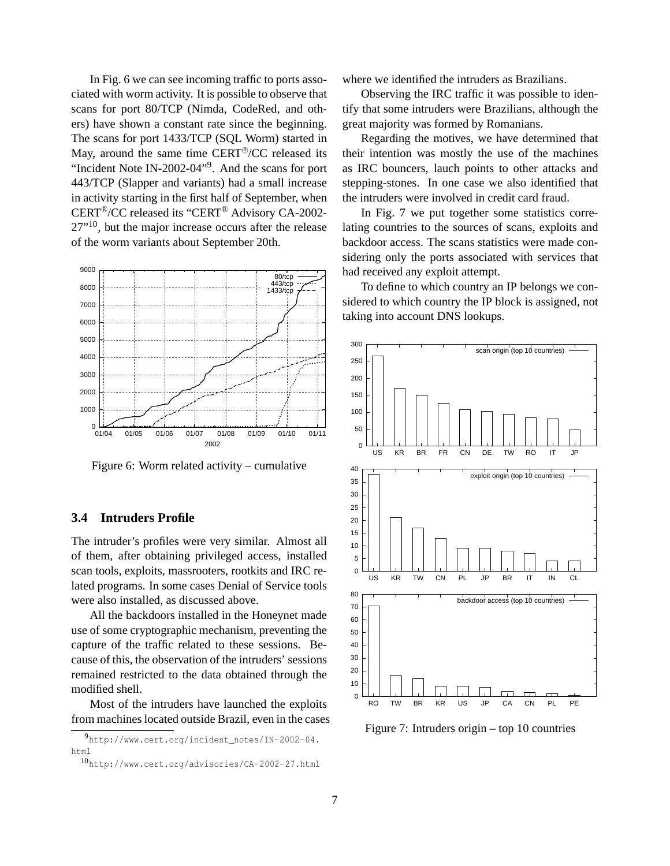In Fig. [6](#page-6-0) we can see incoming traffic to ports associated with worm activity. It is possible to observe that scans for port 80/TCP (Nimda, CodeRed, and others) have shown a constant rate since the beginning. The scans for port 1433/TCP (SQL Worm) started in May, around the same time CERT®/CC released its "Incident Note IN-2002-04"<sup>[9](#page-6-1)</sup>. And the scans for port 443/TCP (Slapper and variants) had a small increase in activity starting in the first half of September, when CERT<sup>®</sup>/CC released its "CERT<sup>®</sup> Advisory CA-2002- $27$  $<sup>10</sup>$  $<sup>10</sup>$  $<sup>10</sup>$ , but the major increase occurs after the release</sup> of the worm variants about September 20th.



<span id="page-6-0"></span>Figure 6: Worm related activity – cumulative

### **3.4 Intruders Profile**

The intruder's profiles were very similar. Almost all of them, after obtaining privileged access, installed scan tools, exploits, massrooters, rootkits and IRC related programs. In some cases Denial of Service tools were also installed, as discussed above.

All the backdoors installed in the Honeynet made use of some cryptographic mechanism, preventing the capture of the traffic related to these sessions. Because of this, the observation of the intruders' sessions remained restricted to the data obtained through the modified shell.

Most of the intruders have launched the exploits from machines located outside Brazil, even in the cases

<sup>9</sup>[http://www.cert.org/incident\\_notes/IN-2002-04.](http://www.cert.org/incident_notes/IN-2002-04.html) [html](http://www.cert.org/incident_notes/IN-2002-04.html)

<span id="page-6-2"></span><span id="page-6-1"></span><sup>10</sup><http://www.cert.org/advisories/CA-2002-27.html>

where we identified the intruders as Brazilians.

Observing the IRC traffic it was possible to identify that some intruders were Brazilians, although the great majority was formed by Romanians.

Regarding the motives, we have determined that their intention was mostly the use of the machines as IRC bouncers, lauch points to other attacks and stepping-stones. In one case we also identified that the intruders were involved in credit card fraud.

In Fig. [7](#page-6-3) we put together some statistics correlating countries to the sources of scans, exploits and backdoor access. The scans statistics were made considering only the ports associated with services that had received any exploit attempt.

To define to which country an IP belongs we considered to which country the IP block is assigned, not taking into account DNS lookups.



<span id="page-6-3"></span>Figure 7: Intruders origin – top 10 countries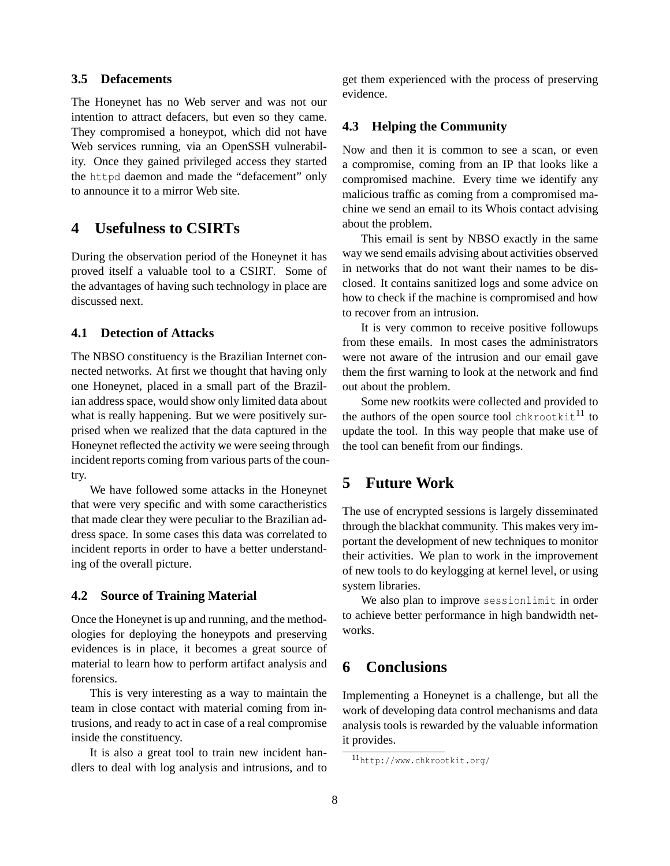## **3.5 Defacements**

The Honeynet has no Web server and was not our intention to attract defacers, but even so they came. They compromised a honeypot, which did not have Web services running, via an OpenSSH vulnerability. Once they gained privileged access they started the httpd daemon and made the "defacement" only to announce it to a mirror Web site.

## **4 Usefulness to CSIRTs**

During the observation period of the Honeynet it has proved itself a valuable tool to a CSIRT. Some of the advantages of having such technology in place are discussed next.

## **4.1 Detection of Attacks**

The NBSO constituency is the Brazilian Internet connected networks. At first we thought that having only one Honeynet, placed in a small part of the Brazilian address space, would show only limited data about what is really happening. But we were positively surprised when we realized that the data captured in the Honeynet reflected the activity we were seeing through incident reports coming from various parts of the country.

We have followed some attacks in the Honeynet that were very specific and with some caractheristics that made clear they were peculiar to the Brazilian address space. In some cases this data was correlated to incident reports in order to have a better understanding of the overall picture.

### **4.2 Source of Training Material**

Once the Honeynet is up and running, and the methodologies for deploying the honeypots and preserving evidences is in place, it becomes a great source of material to learn how to perform artifact analysis and forensics.

This is very interesting as a way to maintain the team in close contact with material coming from intrusions, and ready to act in case of a real compromise inside the constituency.

It is also a great tool to train new incident handlers to deal with log analysis and intrusions, and to get them experienced with the process of preserving evidence.

## **4.3 Helping the Community**

Now and then it is common to see a scan, or even a compromise, coming from an IP that looks like a compromised machine. Every time we identify any malicious traffic as coming from a compromised machine we send an email to its Whois contact advising about the problem.

This email is sent by NBSO exactly in the same way we send emails advising about activities observed in networks that do not want their names to be disclosed. It contains sanitized logs and some advice on how to check if the machine is compromised and how to recover from an intrusion.

It is very common to receive positive followups from these emails. In most cases the administrators were not aware of the intrusion and our email gave them the first warning to look at the network and find out about the problem.

Some new rootkits were collected and provided to the authors of the open source tool chkrootkit $^{11}$  $^{11}$  $^{11}$  to update the tool. In this way people that make use of the tool can benefit from our findings.

## **5 Future Work**

The use of encrypted sessions is largely disseminated through the blackhat community. This makes very important the development of new techniques to monitor their activities. We plan to work in the improvement of new tools to do keylogging at kernel level, or using system libraries.

We also plan to improve sessionlimit in order to achieve better performance in high bandwidth networks.

## **6 Conclusions**

Implementing a Honeynet is a challenge, but all the work of developing data control mechanisms and data analysis tools is rewarded by the valuable information it provides.

<span id="page-7-0"></span><sup>11</sup><http://www.chkrootkit.org/>